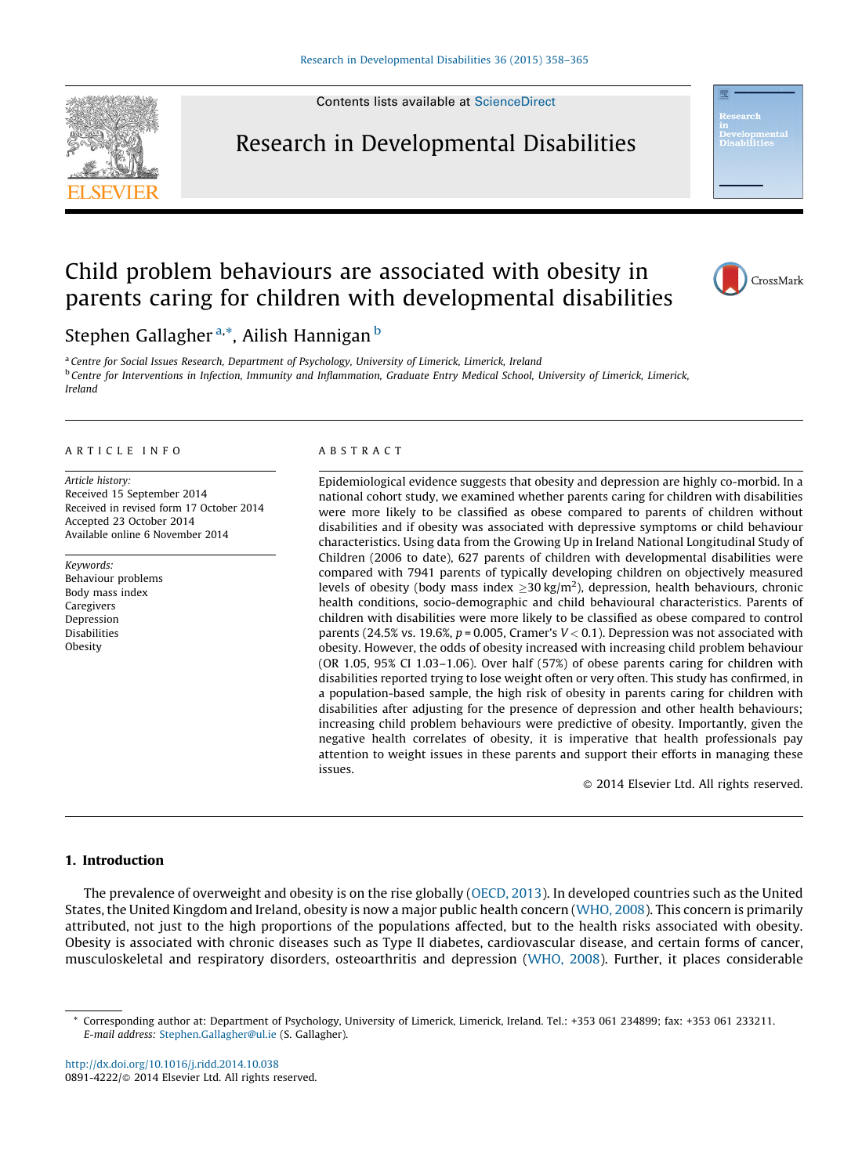Contents lists available at [ScienceDirect](http://www.sciencedirect.com/science/journal/08914222)

## Research in Developmental Disabilities



# Child problem behaviours are associated with obesity in parents caring for children with developmental disabilities



Stephen Gallagher <sup>a,\*</sup>, Ailish Hannigan <sup>b</sup>

<sup>a</sup> Centre for Social Issues Research, Department of Psychology, University of Limerick, Limerick, Ireland <sup>b</sup> Centre for Interventions in Infection, Immunity and Inflammation, Graduate Entry Medical School, University of Limerick, Limerick, Ireland

#### A R T I C L E I N F O

Article history: Received 15 September 2014 Received in revised form 17 October 2014 Accepted 23 October 2014 Available online 6 November 2014

Keywords: Behaviour problems Body mass index Caregivers Depression Disabilities Obesity

#### A B S T R A C T

Epidemiological evidence suggests that obesity and depression are highly co-morbid. In a national cohort study, we examined whether parents caring for children with disabilities were more likely to be classified as obese compared to parents of children without disabilities and if obesity was associated with depressive symptoms or child behaviour characteristics. Using data from the Growing Up in Ireland National Longitudinal Study of Children (2006 to date), 627 parents of children with developmental disabilities were compared with 7941 parents of typically developing children on objectively measured levels of obesity (body mass index  $\geq$  30 kg/m<sup>2</sup>), depression, health behaviours, chronic health conditions, socio-demographic and child behavioural characteristics. Parents of children with disabilities were more likely to be classified as obese compared to control parents (24.5% vs. 19.6%,  $p = 0.005$ , Cramer's  $V < 0.1$ ). Depression was not associated with obesity. However, the odds of obesity increased with increasing child problem behaviour (OR 1.05, 95% CI 1.03–1.06). Over half (57%) of obese parents caring for children with disabilities reported trying to lose weight often or very often. This study has confirmed, in a population-based sample, the high risk of obesity in parents caring for children with disabilities after adjusting for the presence of depression and other health behaviours; increasing child problem behaviours were predictive of obesity. Importantly, given the negative health correlates of obesity, it is imperative that health professionals pay attention to weight issues in these parents and support their efforts in managing these issues.

- 2014 Elsevier Ltd. All rights reserved.

### 1. Introduction

The prevalence of overweight and obesity is on the rise globally ([OECD,](#page--1-0) 2013). In developed countries such as the United States, the United Kingdom and Ireland, obesity is now a major public health concern [\(WHO,](#page--1-0) 2008). This concern is primarily attributed, not just to the high proportions of the populations affected, but to the health risks associated with obesity. Obesity is associated with chronic diseases such as Type II diabetes, cardiovascular disease, and certain forms of cancer, musculoskeletal and respiratory disorders, osteoarthritis and depression ([WHO,](#page--1-0) 2008). Further, it places considerable

<http://dx.doi.org/10.1016/j.ridd.2014.10.038> 0891-4222/© 2014 Elsevier Ltd. All rights reserved.

<sup>\*</sup> Corresponding author at: Department of Psychology, University of Limerick, Limerick, Ireland. Tel.: +353 061 234899; fax: +353 061 233211. E-mail address: [Stephen.Gallagher@ul.ie](mailto:Stephen.Gallagher@ul.ie) (S. Gallagher).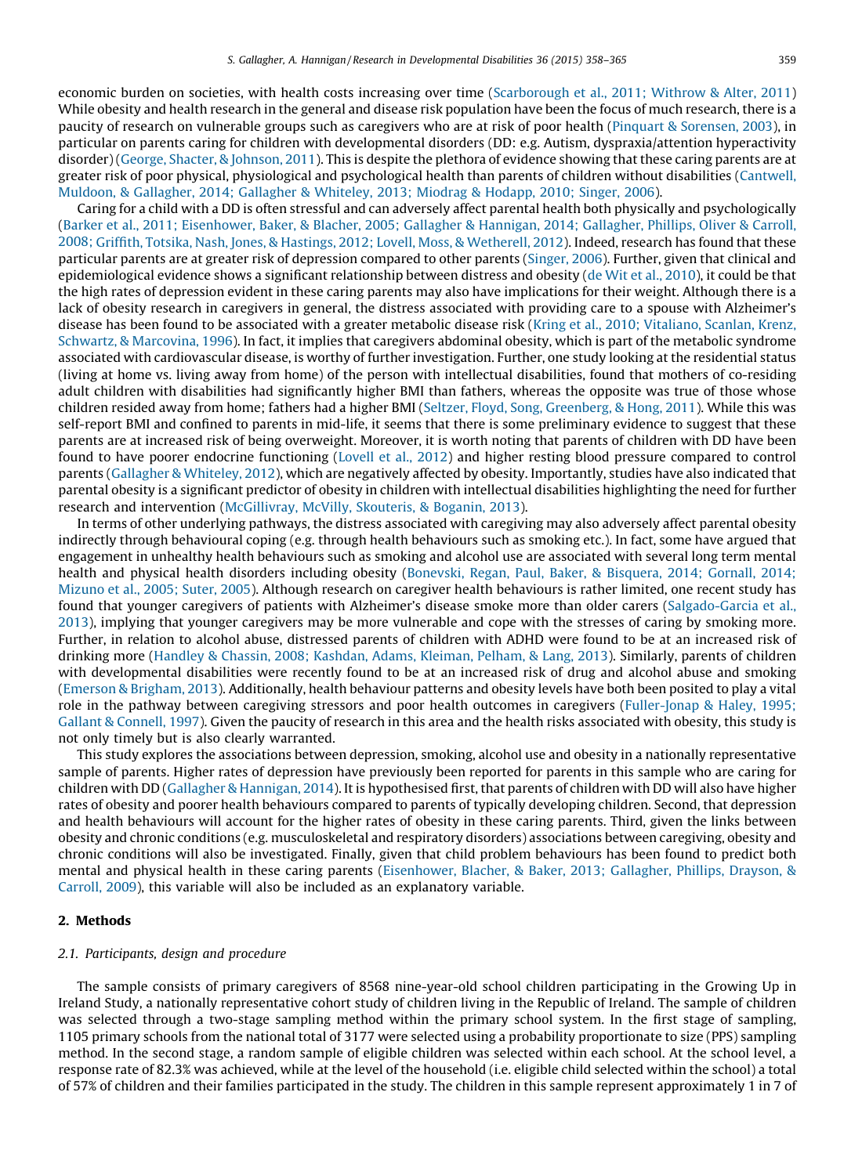economic burden on societies, with health costs increasing over time ([Scarborough](#page--1-0) et al., 2011; Withrow & Alter, 2011) While obesity and health research in the general and disease risk population have been the focus of much research, there is a paucity of research on vulnerable groups such as caregivers who are at risk of poor health (Pinquart & [Sorensen,](#page--1-0) 2003), in particular on parents caring for children with developmental disorders (DD: e.g. Autism, dyspraxia/attention hyperactivity disorder) (George, Shacter, & [Johnson,](#page--1-0) 2011). This is despite the plethora of evidence showing that these caring parents are at greater risk of poor physical, physiological and psychological health than parents of children without disabilities [\(Cantwell,](#page--1-0) Muldoon, & [Gallagher,](#page--1-0) 2014; Gallagher & Whiteley, 2013; Miodrag & Hodapp, 2010; Singer, 2006).

Caring for a child with a DD is often stressful and can adversely affect parental health both physically and psychologically (Barker et al., 2011; [Eisenhower,](#page--1-0) Baker, & Blacher, 2005; Gallagher & Hannigan, 2014; Gallagher, Phillips, Oliver & Carroll, 2008; Griffith, Totsika, Nash, Jones, & Hastings, 2012; Lovell, Moss, & [Wetherell,](#page--1-0) 2012). Indeed, research has found that these particular parents are at greater risk of depression compared to other parents ([Singer,](#page--1-0) 2006). Further, given that clinical and epidemiological evidence shows a significant relationship between distress and obesity (de Wit et al., [2010](#page--1-0)), it could be that the high rates of depression evident in these caring parents may also have implications for their weight. Although there is a lack of obesity research in caregivers in general, the distress associated with providing care to a spouse with Alzheimer's disease has been found to be associated with a greater metabolic disease risk (Kring et al., 2010; [Vitaliano,](#page--1-0) Scanlan, Krenz, Schwartz, & [Marcovina,](#page--1-0) 1996). In fact, it implies that caregivers abdominal obesity, which is part of the metabolic syndrome associated with cardiovascular disease, is worthy of further investigation. Further, one study looking at the residential status (living at home vs. living away from home) of the person with intellectual disabilities, found that mothers of co-residing adult children with disabilities had significantly higher BMI than fathers, whereas the opposite was true of those whose children resided away from home; fathers had a higher BMI (Seltzer, Floyd, Song, [Greenberg,](#page--1-0) & Hong, 2011). While this was self-report BMI and confined to parents in mid-life, it seems that there is some preliminary evidence to suggest that these parents are at increased risk of being overweight. Moreover, it is worth noting that parents of children with DD have been found to have poorer endocrine functioning ([Lovell](#page--1-0) et al., 2012) and higher resting blood pressure compared to control parents [\(Gallagher](#page--1-0) & Whiteley, 2012), which are negatively affected by obesity. Importantly, studies have also indicated that parental obesity is a significant predictor of obesity in children with intellectual disabilities highlighting the need for further research and intervention [\(McGillivray,](#page--1-0) McVilly, Skouteris, & Boganin, 2013).

In terms of other underlying pathways, the distress associated with caregiving may also adversely affect parental obesity indirectly through behavioural coping (e.g. through health behaviours such as smoking etc.). In fact, some have argued that engagement in unhealthy health behaviours such as smoking and alcohol use are associated with several long term mental health and physical health disorders including obesity [\(Bonevski,](#page--1-0) Regan, Paul, Baker, & Bisquera, 2014; Gornall, 2014; [Mizuno](#page--1-0) et al., 2005; Suter, 2005). Although research on caregiver health behaviours is rather limited, one recent study has found that younger caregivers of patients with Alzheimer's disease smoke more than older carers [\(Salgado-Garcia](#page--1-0) et al., [2013](#page--1-0)), implying that younger caregivers may be more vulnerable and cope with the stresses of caring by smoking more. Further, in relation to alcohol abuse, distressed parents of children with ADHD were found to be at an increased risk of drinking more (Handley & Chassin, 2008; [Kashdan,](#page--1-0) Adams, Kleiman, Pelham, & Lang, 2013). Similarly, parents of children with developmental disabilities were recently found to be at an increased risk of drug and alcohol abuse and smoking (Emerson & [Brigham,](#page--1-0) 2013). Additionally, health behaviour patterns and obesity levels have both been posited to play a vital role in the pathway between caregiving stressors and poor health outcomes in caregivers ([Fuller-Jonap](#page--1-0) & Haley, 1995; Gallant & [Connell,](#page--1-0) 1997). Given the paucity of research in this area and the health risks associated with obesity, this study is not only timely but is also clearly warranted.

This study explores the associations between depression, smoking, alcohol use and obesity in a nationally representative sample of parents. Higher rates of depression have previously been reported for parents in this sample who are caring for children with DD (Gallagher & [Hannigan,](#page--1-0) 2014). It is hypothesised first, that parents of children with DD will also have higher rates of obesity and poorer health behaviours compared to parents of typically developing children. Second, that depression and health behaviours will account for the higher rates of obesity in these caring parents. Third, given the links between obesity and chronic conditions (e.g. musculoskeletal and respiratory disorders) associations between caregiving, obesity and chronic conditions will also be investigated. Finally, given that child problem behaviours has been found to predict both mental and physical health in these caring parents [\(Eisenhower,](#page--1-0) Blacher, & Baker, 2013; Gallagher, Phillips, Drayson, & [Carroll,](#page--1-0) 2009), this variable will also be included as an explanatory variable.

## 2. Methods

#### 2.1. Participants, design and procedure

The sample consists of primary caregivers of 8568 nine-year-old school children participating in the Growing Up in Ireland Study, a nationally representative cohort study of children living in the Republic of Ireland. The sample of children was selected through a two-stage sampling method within the primary school system. In the first stage of sampling, 1105 primary schools from the national total of 3177 were selected using a probability proportionate to size (PPS) sampling method. In the second stage, a random sample of eligible children was selected within each school. At the school level, a response rate of 82.3% was achieved, while at the level of the household (i.e. eligible child selected within the school) a total of 57% of children and their families participated in the study. The children in this sample represent approximately 1 in 7 of